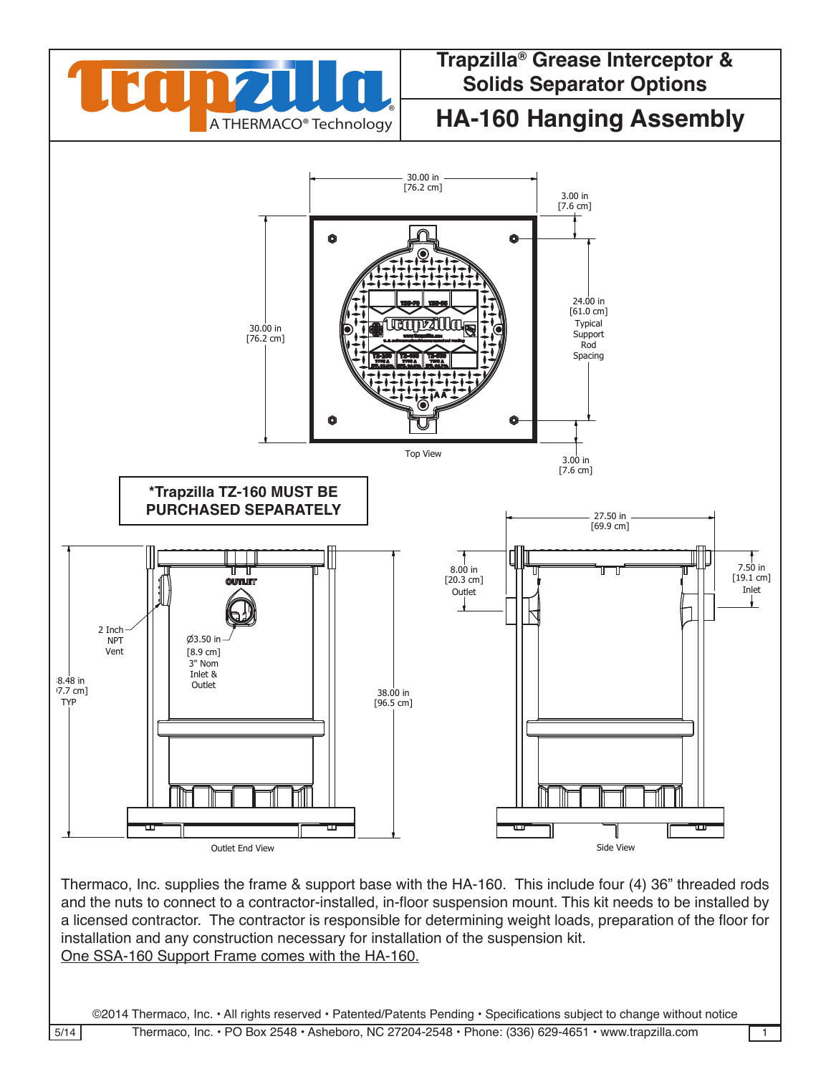

## **A THERMACO® Technology HA-160 Hanging Assembly** 3

WRITTEN CONSENT FROM THERMACO, INC. POSSESSION OF THIS DRAWING DOES NOT CONSTITUTE THE RIGHT TO MANUFACTURE. POSSESSION OF THIS DRAWING DOES CONSTITUTE AN IMPLIED NONDISCLOSURE AGREEMENT BETWEEN THERMACO, INC. AND THE HOLDER OF THIS DRAWING. DO NOT DESTROY THIS DRAWING, IT IS THE SOLE PROPERTY OF THERMACO, INC. AND MUST BE RETURNED UPON REQUEST.



Thermaco, Inc. supplies the frame & support base with the HA-160. This include four (4) 36" threaded rods  $\, \mid \,$ and the nuts to connect to a contractor-installed, in-floor suspension mount. This kit needs to be installed by and the nuts to connect to a contractor-installed, in-hoor suspension mount. This kit needs to be installed by<br>a licensed contractor. The contractor is responsible for determining weight loads, preparation of the floor for a licensed contractor. I he contractor is responsible for determining weight loads, prepai<br>installation and any construction necessary for installation of the suspension kit. One SSA-160 Support Frame comes with the HA-160. าg weight loads, preparation of  $\frac{1}{2}$  increase to  $\frac{1}{2}$ CHECKED SIZE REV. NO. DWG NO. PART NO. C ENGINEERING DRAWN DATE THIS DRAWING CONTAINS PROPERTY AND PATENTED MATERIAL. THIS DRAWING MAY NOT BE REPRODUCED IN WHOLE OR PATENTED IN MAY NOT BE REPRODUCED IN WHOLE ORDER THAT WHO IN WHOLE ORDER THAT WITHOUT DRAWING MAY NOT BE REPRODUCED IN W PO BOX 2548, ASHEBORO, NC 27203 VOICE 336-629-4651 FAX 336-626-5739 Decimals

©2014 Thermaco, Inc. • All rights reserved • Patented/Patents Pending • Specifications subject to change without notice